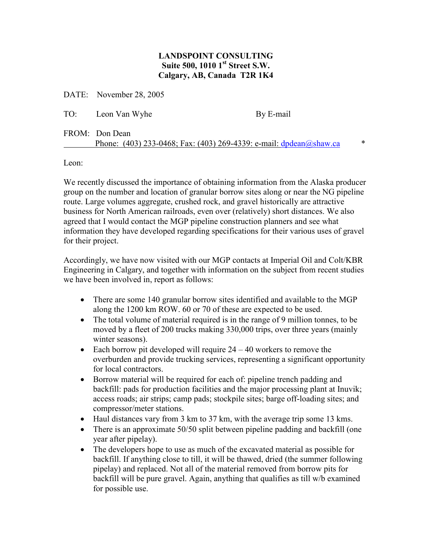## LANDSPOINT CONSULTING Suite 500, 1010 1<sup>st</sup> Street S.W. Calgary, AB, Canada T2R 1K4

DATE: November 28, 2005

TO: Leon Van Wyhe By E-mail

## FROM: Don Dean Phone: (403) 233-0468; Fax: (403) 269-4339: e-mail: dpdean@shaw.ca \*

Leon:

We recently discussed the importance of obtaining information from the Alaska producer group on the number and location of granular borrow sites along or near the NG pipeline route. Large volumes aggregate, crushed rock, and gravel historically are attractive business for North American railroads, even over (relatively) short distances. We also agreed that I would contact the MGP pipeline construction planners and see what information they have developed regarding specifications for their various uses of gravel for their project.

Accordingly, we have now visited with our MGP contacts at Imperial Oil and Colt/KBR Engineering in Calgary, and together with information on the subject from recent studies we have been involved in, report as follows:

- There are some 140 granular borrow sites identified and available to the MGP along the 1200 km ROW. 60 or 70 of these are expected to be used.
- The total volume of material required is in the range of 9 million tonnes, to be moved by a fleet of 200 trucks making 330,000 trips, over three years (mainly winter seasons).
- Each borrow pit developed will require  $24 40$  workers to remove the overburden and provide trucking services, representing a significant opportunity for local contractors.
- Borrow material will be required for each of: pipeline trench padding and backfill: pads for production facilities and the major processing plant at Inuvik; access roads; air strips; camp pads; stockpile sites; barge off-loading sites; and compressor/meter stations.
- Haul distances vary from 3 km to 37 km, with the average trip some 13 kms.
- There is an approximate 50/50 split between pipeline padding and backfill (one year after pipelay).
- The developers hope to use as much of the excavated material as possible for backfill. If anything close to till, it will be thawed, dried (the summer following pipelay) and replaced. Not all of the material removed from borrow pits for backfill will be pure gravel. Again, anything that qualifies as till w/b examined for possible use.